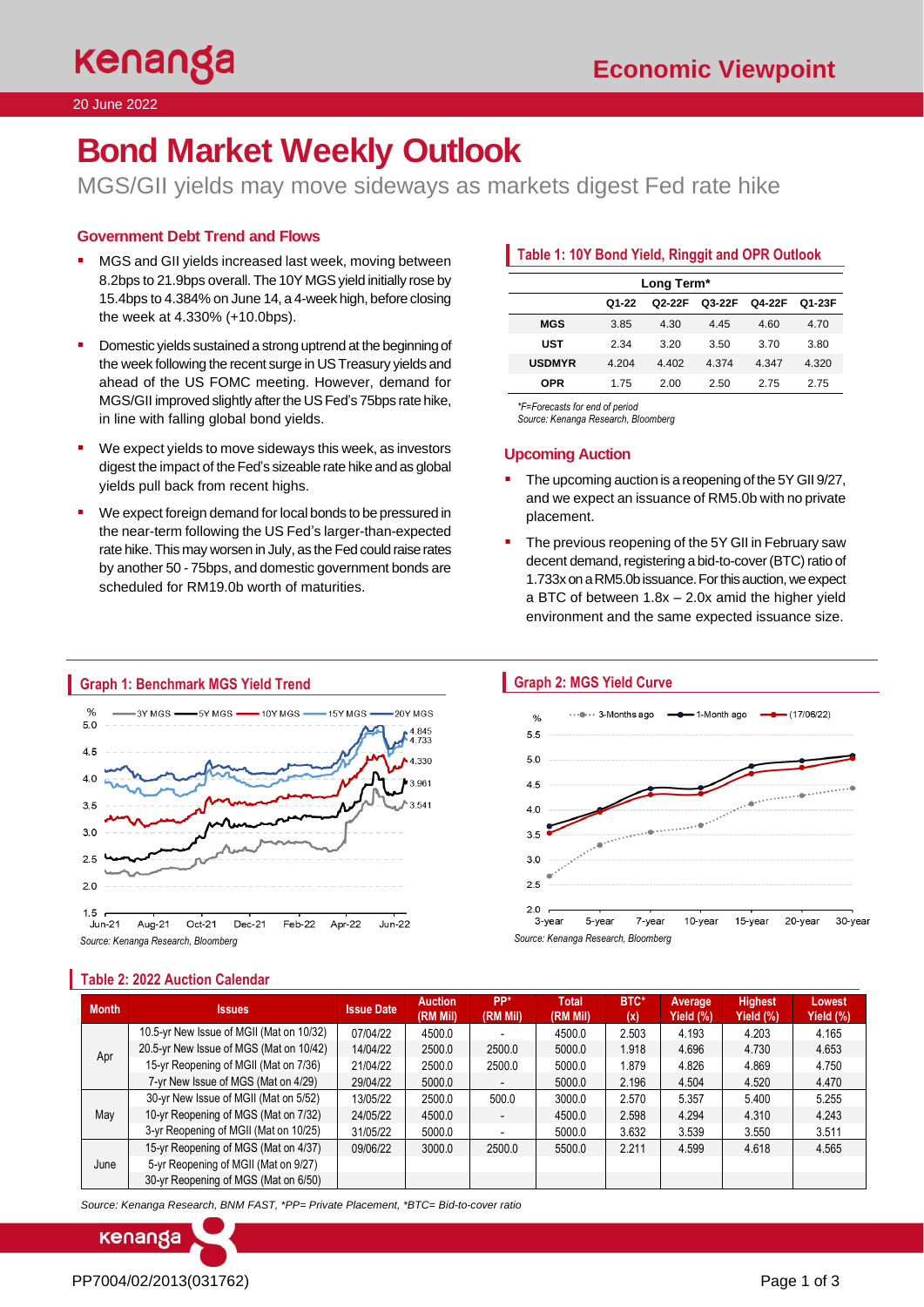# **Bond Market Weekly Outlook**

MGS/GII yields may move sideways as markets digest Fed rate hike

## **Government Debt Trend and Flows**

- MGS and GII yields increased last week, moving between 8.2bps to 21.9bps overall. The 10Y MGS yield initially rose by 15.4bps to 4.384% on June 14, a 4-week high, before closing the week at 4.330% (+10.0bps).
- Domestic yields sustained a strong uptrend at the beginning of the week following the recent surge in US Treasury yields and ahead of the US FOMC meeting. However, demand for MGS/GII improved slightly after the US Fed's 75bps rate hike, in line with falling global bond yields.
- We expect yields to move sideways this week, as investors digest the impact of the Fed's sizeable rate hike and as global yields pull back from recent highs.
- We expect foreign demand for local bonds to be pressured in the near-term following the US Fed's larger-than-expected rate hike. This may worsen in July, as the Fed could raise rates by another 50 - 75bps, and domestic government bonds are scheduled for RM19.0b worth of maturities.

# **Table 1: 10Y Bond Yield, Ringgit and OPR Outlook**

| Long Term*    |       |        |        |        |        |  |  |
|---------------|-------|--------|--------|--------|--------|--|--|
|               | Q1-22 | Q2-22F | Q3-22F | Q4-22F | Q1-23F |  |  |
| <b>MGS</b>    | 3.85  | 4.30   | 4.45   | 4.60   | 4.70   |  |  |
| UST           | 2.34  | 3.20   | 3.50   | 3.70   | 3.80   |  |  |
| <b>USDMYR</b> | 4.204 | 4.402  | 4.374  | 4.347  | 4.320  |  |  |
| <b>OPR</b>    | 1.75  | 2.00   | 2.50   | 2.75   | 2.75   |  |  |

*\*F=Forecasts for end of period* 

*Source: Kenanga Research, Bloomberg*

# **Upcoming Auction**

- The upcoming auction is a reopening of the 5Y GII 9/27, and we expect an issuance of RM5.0b with no private placement.
- The previous reopening of the 5Y GII in February saw decent demand, registering a bid-to-cover (BTC) ratio of 1.733x on a RM5.0b issuance. For this auction, we expect a BTC of between 1.8x – 2.0x amid the higher yield environment and the same expected issuance size.







| <b>Month</b> | <b>Issues</b>                            | <b>Issue Date</b> | <b>Auction</b><br>(RM Mil) | PP*<br>(RM Mil)          | Total<br>(RM Mil) | BTC*<br>(x) | Average<br>Yield (%), | <b>Highest</b><br>Yield $(\%)$ | Lowest<br>Yield (%) |
|--------------|------------------------------------------|-------------------|----------------------------|--------------------------|-------------------|-------------|-----------------------|--------------------------------|---------------------|
| Apr          | 10.5-yr New Issue of MGII (Mat on 10/32) | 07/04/22          | 4500.0                     |                          | 4500.0            | 2.503       | 4.193                 | 4.203                          | 4.165               |
|              | 20.5-yr New Issue of MGS (Mat on 10/42)  | 14/04/22          | 2500.0                     | 2500.0                   | 5000.0            | 1.918       | 4.696                 | 4.730                          | 4.653               |
|              | 15-yr Reopening of MGII (Mat on 7/36)    | 21/04/22          | 2500.0                     | 2500.0                   | 5000.0            | 1.879       | 4.826                 | 4.869                          | 4.750               |
|              | 7-yr New Issue of MGS (Mat on 4/29)      | 29/04/22          | 5000.0                     |                          | 5000.0            | 2.196       | 4.504                 | 4.520                          | 4.470               |
|              | 30-yr New Issue of MGII (Mat on 5/52)    | 13/05/22          | 2500.0                     | 500.0                    | 3000.0            | 2.570       | 5.357                 | 5.400                          | 5.255               |
| May          | 10-yr Reopening of MGS (Mat on 7/32)     | 24/05/22          | 4500.0                     | $\overline{\phantom{a}}$ | 4500.0            | 2.598       | 4.294                 | 4.310                          | 4.243               |
|              | 3-yr Reopening of MGII (Mat on 10/25)    | 31/05/22          | 5000.0                     |                          | 5000.0            | 3.632       | 3.539                 | 3.550                          | 3.511               |
| June         | 15-yr Reopening of MGS (Mat on 4/37)     | 09/06/22          | 3000.0                     | 2500.0                   | 5500.0            | 2.211       | 4.599                 | 4.618                          | 4.565               |
|              | 5-yr Reopening of MGII (Mat on 9/27)     |                   |                            |                          |                   |             |                       |                                |                     |
|              | 30-yr Reopening of MGS (Mat on 6/50)     |                   |                            |                          |                   |             |                       |                                |                     |

*Source: Kenanga Research, BNM FAST, \*PP= Private Placement, \*BTC= Bid-to-cover ratio*



**Table 2: 2022 Auction Calendar**

# PP7004/02/2013(031762) Page 1 of 3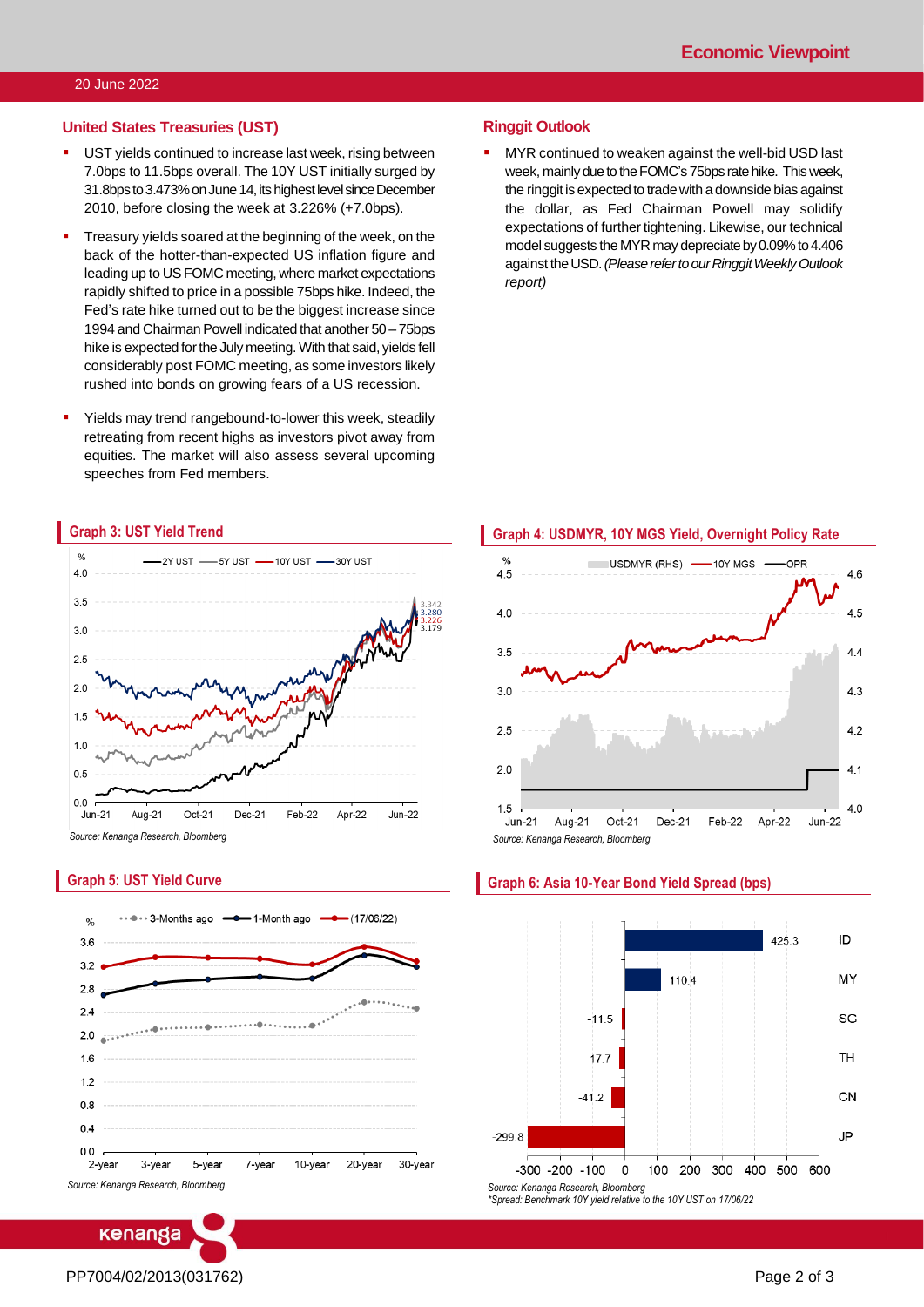#### **United States Treasuries (UST)**

- UST yields continued to increase last week, rising between 7.0bps to 11.5bps overall. The 10Y UST initially surged by 31.8bps to 3.473% on June 14, its highest levelsince December 2010, before closing the week at 3.226% (+7.0bps).
- Treasury yields soared at the beginning of the week, on the back of the hotter-than-expected US inflation figure and leading up to US FOMC meeting, where market expectations rapidly shifted to price in a possible 75bps hike. Indeed, the Fed's rate hike turned out to be the biggest increase since 1994 and Chairman Powell indicated that another 50 – 75bps hike is expected for the July meeting. With that said, yields fell considerably post FOMC meeting, as some investors likely rushed into bonds on growing fears of a US recession.
- Yields may trend rangebound-to-lower this week, steadily retreating from recent highs as investors pivot away from equities. The market will also assess several upcoming speeches from Fed members.

#### **Ringgit Outlook**

MYR continued to weaken against the well-bid USD last week, mainly due to the FOMC's 75bps rate hike. This week, the ringgit is expected to trade with a downside bias against the dollar, as Fed Chairman Powell may solidify expectations of further tightening. Likewise, our technical model suggests the MYR may depreciate by 0.09% to 4.406 against the USD. *(Please refer to our Ringgit Weekly Outlook report)*



*Source: Kenanga Research, Bloomberg*

**Graph 3: UST Yield Trend**

### **Graph 5: UST Yield Curve**



Level 12, Kenanga Tower, 237, Jalan Tun Razak, 50400 Kuala Lumpur, Malaysia Chan Ken Yew Telephone: (603) 2172 0880 Web[site: www.kenanga.com](http://www.kenanga.com.my/).my [E-mail:](mailto:resear) research@kenanga.com.my Head of Research





#### **Graph 6: Asia 10-Year Bond Yield Spread (bps)**

PP7004/02/2013(031762) Page 2 of 3

**ENANGA INVESTMENT BANK BERHAD (15678-H)**